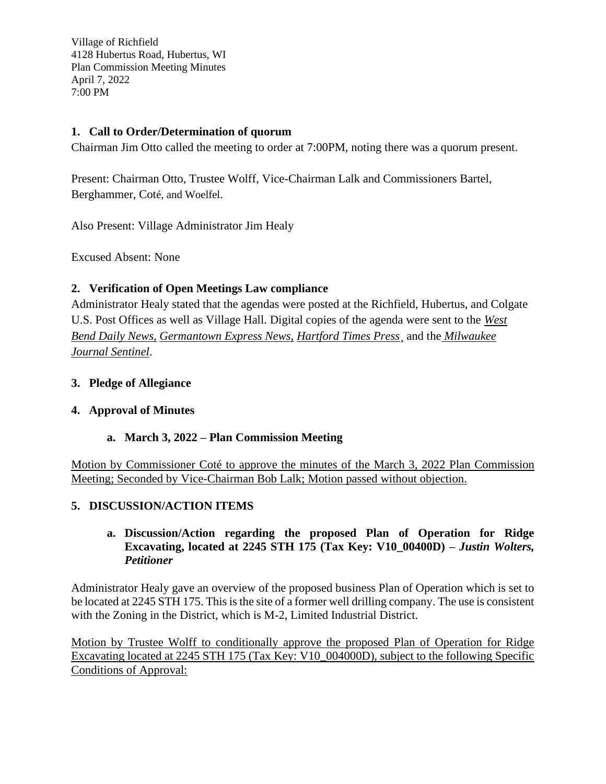# **1. Call to Order/Determination of quorum**

Chairman Jim Otto called the meeting to order at 7:00PM, noting there was a quorum present.

Present: Chairman Otto, Trustee Wolff, Vice-Chairman Lalk and Commissioners Bartel, Berghammer, Coté, and Woelfel.

Also Present: Village Administrator Jim Healy

Excused Absent: None

# **2. Verification of Open Meetings Law compliance**

Administrator Healy stated that the agendas were posted at the Richfield, Hubertus, and Colgate U.S. Post Offices as well as Village Hall. Digital copies of the agenda were sent to the *West Bend Daily News, Germantown Express News, Hartford Times Press*¸ and the *Milwaukee Journal Sentinel*.

#### **3. Pledge of Allegiance**

# **4. Approval of Minutes**

# **a. March 3, 2022 – Plan Commission Meeting**

Motion by Commissioner Coté to approve the minutes of the March 3, 2022 Plan Commission Meeting; Seconded by Vice-Chairman Bob Lalk; Motion passed without objection.

# **5. DISCUSSION/ACTION ITEMS**

#### **a. Discussion/Action regarding the proposed Plan of Operation for Ridge Excavating, located at 2245 STH 175 (Tax Key: V10\_00400D)** *– Justin Wolters, Petitioner*

Administrator Healy gave an overview of the proposed business Plan of Operation which is set to be located at 2245 STH 175. This is the site of a former well drilling company. The use is consistent with the Zoning in the District, which is M-2, Limited Industrial District.

Motion by Trustee Wolff to conditionally approve the proposed Plan of Operation for Ridge Excavating located at 2245 STH 175 (Tax Key: V10\_004000D), subject to the following Specific Conditions of Approval: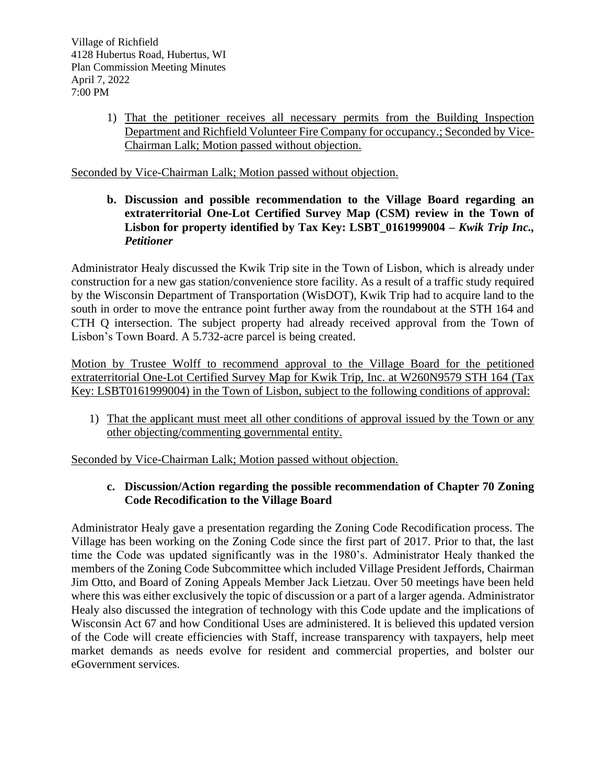1) That the petitioner receives all necessary permits from the Building Inspection Department and Richfield Volunteer Fire Company for occupancy.; Seconded by Vice-Chairman Lalk; Motion passed without objection.

Seconded by Vice-Chairman Lalk; Motion passed without objection.

**b. Discussion and possible recommendation to the Village Board regarding an extraterritorial One-Lot Certified Survey Map (CSM) review in the Town of Lisbon for property identified by Tax Key: LSBT\_0161999004** *– Kwik Trip Inc., Petitioner*

Administrator Healy discussed the Kwik Trip site in the Town of Lisbon, which is already under construction for a new gas station/convenience store facility. As a result of a traffic study required by the Wisconsin Department of Transportation (WisDOT), Kwik Trip had to acquire land to the south in order to move the entrance point further away from the roundabout at the STH 164 and CTH Q intersection. The subject property had already received approval from the Town of Lisbon's Town Board. A 5.732-acre parcel is being created.

Motion by Trustee Wolff to recommend approval to the Village Board for the petitioned extraterritorial One-Lot Certified Survey Map for Kwik Trip, Inc. at W260N9579 STH 164 (Tax Key: LSBT0161999004) in the Town of Lisbon, subject to the following conditions of approval:

1) That the applicant must meet all other conditions of approval issued by the Town or any other objecting/commenting governmental entity.

Seconded by Vice-Chairman Lalk; Motion passed without objection.

# **c. Discussion/Action regarding the possible recommendation of Chapter 70 Zoning Code Recodification to the Village Board**

Administrator Healy gave a presentation regarding the Zoning Code Recodification process. The Village has been working on the Zoning Code since the first part of 2017. Prior to that, the last time the Code was updated significantly was in the 1980's. Administrator Healy thanked the members of the Zoning Code Subcommittee which included Village President Jeffords, Chairman Jim Otto, and Board of Zoning Appeals Member Jack Lietzau. Over 50 meetings have been held where this was either exclusively the topic of discussion or a part of a larger agenda. Administrator Healy also discussed the integration of technology with this Code update and the implications of Wisconsin Act 67 and how Conditional Uses are administered. It is believed this updated version of the Code will create efficiencies with Staff, increase transparency with taxpayers, help meet market demands as needs evolve for resident and commercial properties, and bolster our eGovernment services.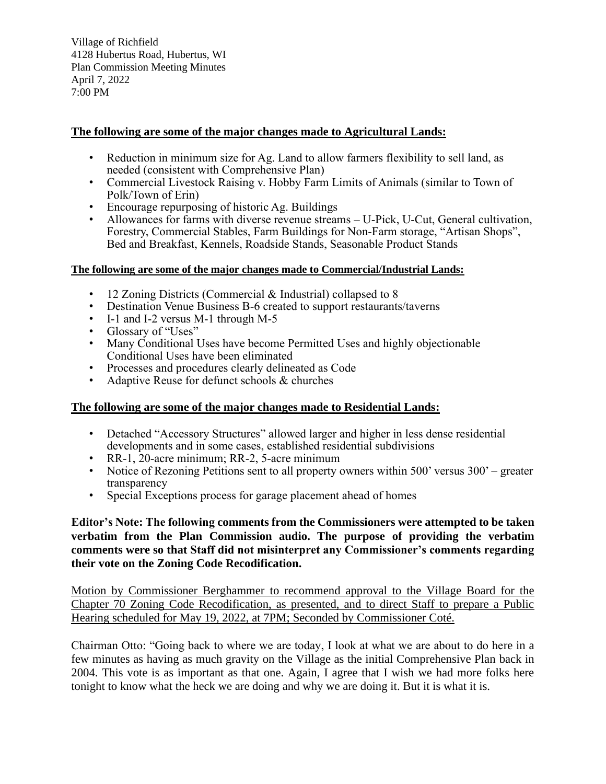#### **The following are some of the major changes made to Agricultural Lands:**

- Reduction in minimum size for Ag. Land to allow farmers flexibility to sell land, as needed (consistent with Comprehensive Plan)
- Commercial Livestock Raising v. Hobby Farm Limits of Animals (similar to Town of Polk/Town of Erin)
- Encourage repurposing of historic Ag. Buildings
- Allowances for farms with diverse revenue streams U-Pick, U-Cut, General cultivation, Forestry, Commercial Stables, Farm Buildings for Non-Farm storage, "Artisan Shops", Bed and Breakfast, Kennels, Roadside Stands, Seasonable Product Stands

#### **The following are some of the major changes made to Commercial/Industrial Lands:**

- 12 Zoning Districts (Commercial & Industrial) collapsed to 8
- Destination Venue Business B-6 created to support restaurants/taverns
- I-1 and I-2 versus M-1 through M-5
- Glossary of "Uses"
- Many Conditional Uses have become Permitted Uses and highly objectionable Conditional Uses have been eliminated
- Processes and procedures clearly delineated as Code
- Adaptive Reuse for defunct schools & churches

# **The following are some of the major changes made to Residential Lands:**

- Detached "Accessory Structures" allowed larger and higher in less dense residential developments and in some cases, established residential subdivisions
- RR-1, 20-acre minimum; RR-2, 5-acre minimum
- Notice of Rezoning Petitions sent to all property owners within 500' versus 300' greater transparency
- Special Exceptions process for garage placement ahead of homes

**Editor's Note: The following comments from the Commissioners were attempted to be taken verbatim from the Plan Commission audio. The purpose of providing the verbatim comments were so that Staff did not misinterpret any Commissioner's comments regarding their vote on the Zoning Code Recodification.** 

Motion by Commissioner Berghammer to recommend approval to the Village Board for the Chapter 70 Zoning Code Recodification, as presented, and to direct Staff to prepare a Public Hearing scheduled for May 19, 2022, at 7PM; Seconded by Commissioner Coté.

Chairman Otto: "Going back to where we are today, I look at what we are about to do here in a few minutes as having as much gravity on the Village as the initial Comprehensive Plan back in 2004. This vote is as important as that one. Again, I agree that I wish we had more folks here tonight to know what the heck we are doing and why we are doing it. But it is what it is.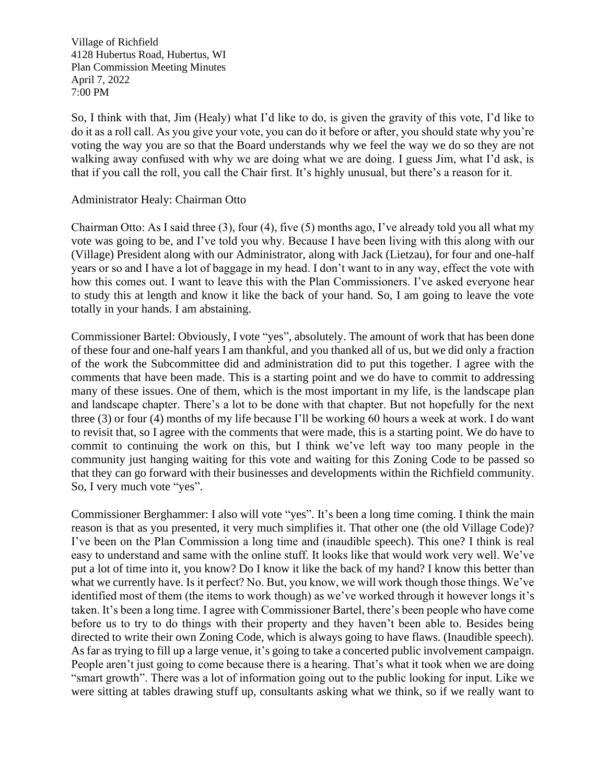So, I think with that, Jim (Healy) what I'd like to do, is given the gravity of this vote, I'd like to do it as a roll call. As you give your vote, you can do it before or after, you should state why you're voting the way you are so that the Board understands why we feel the way we do so they are not walking away confused with why we are doing what we are doing. I guess Jim, what I'd ask, is that if you call the roll, you call the Chair first. It's highly unusual, but there's a reason for it.

#### Administrator Healy: Chairman Otto

Chairman Otto: As I said three (3), four (4), five (5) months ago, I've already told you all what my vote was going to be, and I've told you why. Because I have been living with this along with our (Village) President along with our Administrator, along with Jack (Lietzau), for four and one-half years or so and I have a lot of baggage in my head. I don't want to in any way, effect the vote with how this comes out. I want to leave this with the Plan Commissioners. I've asked everyone hear to study this at length and know it like the back of your hand. So, I am going to leave the vote totally in your hands. I am abstaining.

Commissioner Bartel: Obviously, I vote "yes", absolutely. The amount of work that has been done of these four and one-half years I am thankful, and you thanked all of us, but we did only a fraction of the work the Subcommittee did and administration did to put this together. I agree with the comments that have been made. This is a starting point and we do have to commit to addressing many of these issues. One of them, which is the most important in my life, is the landscape plan and landscape chapter. There's a lot to be done with that chapter. But not hopefully for the next three (3) or four (4) months of my life because I'll be working 60 hours a week at work. I do want to revisit that, so I agree with the comments that were made, this is a starting point. We do have to commit to continuing the work on this, but I think we've left way too many people in the community just hanging waiting for this vote and waiting for this Zoning Code to be passed so that they can go forward with their businesses and developments within the Richfield community. So, I very much vote "yes".

Commissioner Berghammer: I also will vote "yes". It's been a long time coming. I think the main reason is that as you presented, it very much simplifies it. That other one (the old Village Code)? I've been on the Plan Commission a long time and (inaudible speech). This one? I think is real easy to understand and same with the online stuff. It looks like that would work very well. We've put a lot of time into it, you know? Do I know it like the back of my hand? I know this better than what we currently have. Is it perfect? No. But, you know, we will work though those things. We've identified most of them (the items to work though) as we've worked through it however longs it's taken. It's been a long time. I agree with Commissioner Bartel, there's been people who have come before us to try to do things with their property and they haven't been able to. Besides being directed to write their own Zoning Code, which is always going to have flaws. (Inaudible speech). As far as trying to fill up a large venue, it's going to take a concerted public involvement campaign. People aren't just going to come because there is a hearing. That's what it took when we are doing "smart growth". There was a lot of information going out to the public looking for input. Like we were sitting at tables drawing stuff up, consultants asking what we think, so if we really want to